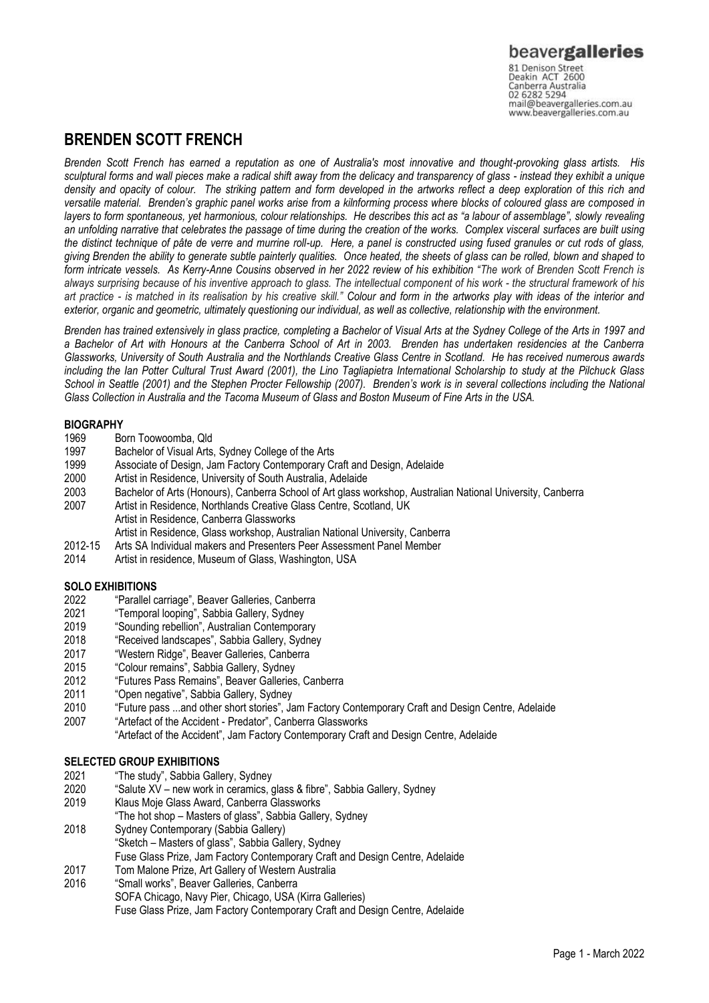### beavergalleries 81 Denison Street<br>Deakin ACT 2600

Canberra Australia 02 6282 5294 mail@beavergalleries.com.au www.beavergalleries.com.au

## **BRENDEN SCOTT FRENCH**

*Brenden Scott French has earned a reputation as one of Australia's most innovative and thought-provoking glass artists. His sculptural forms and wall pieces make a radical shift away from the delicacy and transparency of glass - instead they exhibit a unique density and opacity of colour. The striking pattern and form developed in the artworks reflect a deep exploration of this rich and versatile material. Brenden's graphic panel works arise from a kilnforming process where blocks of coloured glass are composed in*  layers to form spontaneous, yet harmonious, colour relationships. He describes this act as "a labour of assemblage", slowly revealing *an unfolding narrative that celebrates the passage of time during the creation of the works. Complex visceral surfaces are built using the distinct technique of pâte de verre and murrine roll-up. Here, a panel is constructed using fused granules or cut rods of glass, giving Brenden the ability to generate subtle painterly qualities. Once heated, the sheets of glass can be rolled, blown and shaped to form intricate vessels. As Kerry-Anne Cousins observed in her 2022 review of his exhibition "The work of Brenden Scott French is always surprising because of his inventive approach to glass. The intellectual component of his work - the structural framework of his art practice - is matched in its realisation by his creative skill." Colour and form in the artworks play with ideas of the interior and exterior, organic and geometric, ultimately questioning our individual, as well as collective, relationship with the environment.*

*Brenden has trained extensively in glass practice, completing a Bachelor of Visual Arts at the Sydney College of the Arts in 1997 and a Bachelor of Art with Honours at the Canberra School of Art in 2003. Brenden has undertaken residencies at the Canberra Glassworks, University of South Australia and the Northlands Creative Glass Centre in Scotland. He has received numerous awards including the Ian Potter Cultural Trust Award (2001), the Lino Tagliapietra International Scholarship to study at the Pilchuck Glass School in Seattle (2001) and the Stephen Procter Fellowship (2007). Brenden's work is in several collections including the National Glass Collection in Australia and the Tacoma Museum of Glass and Boston Museum of Fine Arts in the USA.*

# **BIOGRAPHY**<br>1969 B

- 1969 Born Toowoomba, Qld<br>1997 Bachelor of Visual Arts
- 1997 Bachelor of Visual Arts, Sydney College of the Arts<br>1999 Associate of Design, Jam Factory Contemporary C
- 1999 Associate of Design, Jam Factory Contemporary Craft and Design, Adelaide
- Artist in Residence, University of South Australia, Adelaide
- 2003 Bachelor of Arts (Honours), Canberra School of Art glass workshop, Australian National University, Canberra
- 2007 Artist in Residence, Northlands Creative Glass Centre, Scotland, UK
- Artist in Residence, Canberra Glassworks
	- Artist in Residence, Glass workshop, Australian National University, Canberra
- 2012-15 Arts SA Individual makers and Presenters Peer Assessment Panel Member
- 2014 Artist in residence, Museum of Glass, Washington, USA

## **SOLO EXHIBITIONS**<br>2022 **Parallel C**

- "Parallel carriage", Beaver Galleries, Canberra
- 2021 "Temporal looping", Sabbia Gallery, Sydney
- 2019 "Sounding rebellion", Australian Contemporary
- 2018 "Received landscapes", Sabbia Gallery, Sydney
- 2017 "Western Ridge", Beaver Galleries, Canberra
- 2015 "Colour remains", Sabbia Gallery, Sydney
- 2012 "Futures Pass Remains", Beaver Galleries, Canberra
- 2011 "Open negative", Sabbia Gallery, Sydney
- 2010 "Future pass ...and other short stories", Jam Factory Contemporary Craft and Design Centre, Adelaide
- 2007 "Artefact of the Accident Predator", Canberra Glassworks "Artefact of the Accident", Jam Factory Contemporary Craft and Design Centre, Adelaide

### **SELECTED GROUP EXHIBITIONS**

- 2021 "The study", Sabbia Gallery, Sydney
- 2020 "Salute XV new work in ceramics, glass & fibre", Sabbia Gallery, Sydney
- 2019 Klaus Moje Glass Award, Canberra Glassworks
- "The hot shop Masters of glass", Sabbia Gallery, Sydney
- 2018 Sydney Contemporary (Sabbia Gallery) "Sketch – Masters of glass", Sabbia Gallery, Sydney
- Fuse Glass Prize, Jam Factory Contemporary Craft and Design Centre, Adelaide
- 2017 Tom Malone Prize, Art Gallery of Western Australia
- 2016 "Small works", Beaver Galleries, Canberra SOFA Chicago, Navy Pier, Chicago, USA (Kirra Galleries) Fuse Glass Prize, Jam Factory Contemporary Craft and Design Centre, Adelaide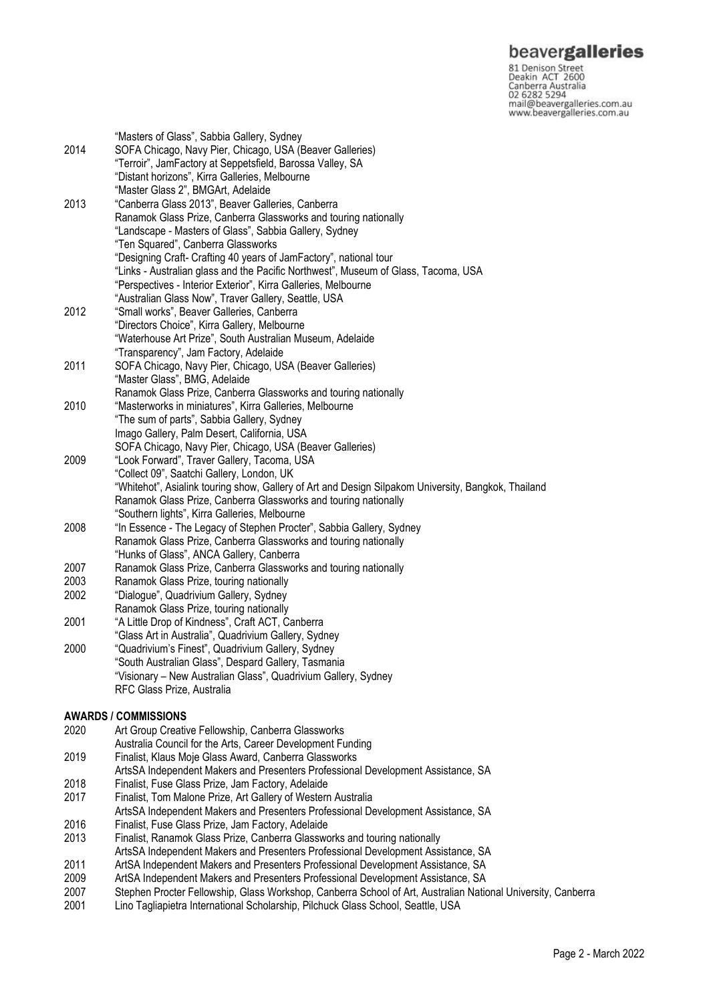### beavergalleries

81 Denison Street<br>
81 Denison Street<br>
Deakin ACT 2600<br>
Canberra Australia<br>
02 6282 5294<br>
mail@beavergalleries.com.au<br>
www.beavergalleries.com.au

|              | "Masters of Glass", Sabbia Gallery, Sydney                                                          |
|--------------|-----------------------------------------------------------------------------------------------------|
| 2014<br>2013 | SOFA Chicago, Navy Pier, Chicago, USA (Beaver Galleries)                                            |
|              | "Terroir", JamFactory at Seppetsfield, Barossa Valley, SA                                           |
|              | "Distant horizons", Kirra Galleries, Melbourne                                                      |
|              | "Master Glass 2", BMGArt, Adelaide                                                                  |
|              | "Canberra Glass 2013", Beaver Galleries, Canberra                                                   |
|              |                                                                                                     |
|              | Ranamok Glass Prize, Canberra Glassworks and touring nationally                                     |
|              | "Landscape - Masters of Glass", Sabbia Gallery, Sydney                                              |
|              | "Ten Squared", Canberra Glassworks                                                                  |
|              | "Designing Craft- Crafting 40 years of JamFactory", national tour                                   |
|              | "Links - Australian glass and the Pacific Northwest", Museum of Glass, Tacoma, USA                  |
|              | "Perspectives - Interior Exterior", Kirra Galleries, Melbourne                                      |
|              | "Australian Glass Now", Traver Gallery, Seattle, USA                                                |
| 2012         | "Small works", Beaver Galleries, Canberra                                                           |
|              | "Directors Choice", Kirra Gallery, Melbourne                                                        |
|              | "Waterhouse Art Prize", South Australian Museum, Adelaide                                           |
|              | "Transparency", Jam Factory, Adelaide                                                               |
| 2011         | SOFA Chicago, Navy Pier, Chicago, USA (Beaver Galleries)                                            |
|              | "Master Glass", BMG, Adelaide                                                                       |
|              | Ranamok Glass Prize, Canberra Glassworks and touring nationally                                     |
| 2010         | "Masterworks in miniatures", Kirra Galleries, Melbourne                                             |
|              | "The sum of parts", Sabbia Gallery, Sydney                                                          |
|              | Imago Gallery, Palm Desert, California, USA                                                         |
|              | SOFA Chicago, Navy Pier, Chicago, USA (Beaver Galleries)                                            |
| 2009         | "Look Forward", Traver Gallery, Tacoma, USA                                                         |
|              | "Collect 09", Saatchi Gallery, London, UK                                                           |
|              | "Whitehot", Asialink touring show, Gallery of Art and Design Silpakom University, Bangkok, Thailand |
|              | Ranamok Glass Prize, Canberra Glassworks and touring nationally                                     |
|              | "Southern lights", Kirra Galleries, Melbourne                                                       |
| 2008         |                                                                                                     |
|              | "In Essence - The Legacy of Stephen Procter", Sabbia Gallery, Sydney                                |
|              | Ranamok Glass Prize, Canberra Glassworks and touring nationally                                     |
|              | "Hunks of Glass", ANCA Gallery, Canberra                                                            |
| 2007         | Ranamok Glass Prize, Canberra Glassworks and touring nationally                                     |
| 2003         | Ranamok Glass Prize, touring nationally                                                             |
| 2002         | "Dialogue", Quadrivium Gallery, Sydney                                                              |
|              | Ranamok Glass Prize, touring nationally                                                             |
| 2001         | "A Little Drop of Kindness", Craft ACT, Canberra                                                    |
|              | "Glass Art in Australia", Quadrivium Gallery, Sydney                                                |
| 2000         | "Quadrivium's Finest", Quadrivium Gallery, Sydney                                                   |
|              | "South Australian Glass", Despard Gallery, Tasmania                                                 |
|              | "Visionary - New Australian Glass", Quadrivium Gallery, Sydney                                      |
|              | RFC Glass Prize, Australia                                                                          |
|              |                                                                                                     |
|              | AWARDS / COMMISSIONS                                                                                |
| 2020         | Art Group Creative Fellowship, Canberra Glassworks                                                  |
|              | Australia Council for the Arts, Career Development Funding                                          |
| 2019         | Finalist, Klaus Moje Glass Award, Canberra Glassworks                                               |
|              | ArtsSA Independent Makers and Presenters Professional Development Assistance, SA                    |
| 2018         | Finalist, Fuse Glass Prize, Jam Factory, Adelaide                                                   |
| 2017         | Finalist, Tom Malone Prize, Art Gallery of Western Australia                                        |
|              | ArtsSA Independent Makers and Presenters Professional Development Assistance, SA                    |
| 2016         | Finalist, Fuse Glass Prize, Jam Factory, Adelaide                                                   |
| 2013         | Finalist, Ranamok Glass Prize, Canberra Glassworks and touring nationally                           |
|              | ArtsSA Independent Makers and Presenters Professional Development Assistance, SA                    |
| 2011         | ArtSA Independent Makers and Presenters Professional Development Assistance, SA                     |
|              |                                                                                                     |

- 2009 ArtSA Independent Makers and Presenters Professional Development Assistance, SA
- 2007 Stephen Procter Fellowship, Glass Workshop, Canberra School of Art, Australian National University, Canberra<br>2001 Lino Tagliapietra International Scholarship, Pilchuck Glass School, Seattle, USA
- Lino Tagliapietra International Scholarship, Pilchuck Glass School, Seattle, USA